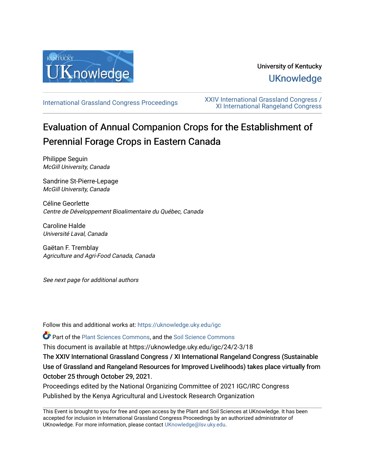

## University of Kentucky **UKnowledge**

[International Grassland Congress Proceedings](https://uknowledge.uky.edu/igc) [XXIV International Grassland Congress /](https://uknowledge.uky.edu/igc/24)  [XI International Rangeland Congress](https://uknowledge.uky.edu/igc/24) 

## Evaluation of Annual Companion Crops for the Establishment of Perennial Forage Crops in Eastern Canada

Philippe Seguin McGill University, Canada

Sandrine St-Pierre-Lepage McGill University, Canada

Céline Georlette Centre de Développement Bioalimentaire du Québec, Canada

Caroline Halde Université Laval, Canada

Gaëtan F. Tremblay Agriculture and Agri-Food Canada, Canada

See next page for additional authors

Follow this and additional works at: [https://uknowledge.uky.edu/igc](https://uknowledge.uky.edu/igc?utm_source=uknowledge.uky.edu%2Figc%2F24%2F2-3%2F18&utm_medium=PDF&utm_campaign=PDFCoverPages) 

Part of the [Plant Sciences Commons](http://network.bepress.com/hgg/discipline/102?utm_source=uknowledge.uky.edu%2Figc%2F24%2F2-3%2F18&utm_medium=PDF&utm_campaign=PDFCoverPages), and the [Soil Science Commons](http://network.bepress.com/hgg/discipline/163?utm_source=uknowledge.uky.edu%2Figc%2F24%2F2-3%2F18&utm_medium=PDF&utm_campaign=PDFCoverPages) 

This document is available at https://uknowledge.uky.edu/igc/24/2-3/18

The XXIV International Grassland Congress / XI International Rangeland Congress (Sustainable Use of Grassland and Rangeland Resources for Improved Livelihoods) takes place virtually from October 25 through October 29, 2021.

Proceedings edited by the National Organizing Committee of 2021 IGC/IRC Congress Published by the Kenya Agricultural and Livestock Research Organization

This Event is brought to you for free and open access by the Plant and Soil Sciences at UKnowledge. It has been accepted for inclusion in International Grassland Congress Proceedings by an authorized administrator of UKnowledge. For more information, please contact [UKnowledge@lsv.uky.edu](mailto:UKnowledge@lsv.uky.edu).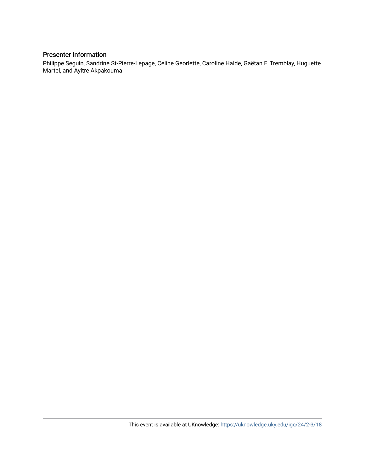## Presenter Information

Philippe Seguin, Sandrine St-Pierre-Lepage, Céline Georlette, Caroline Halde, Gaëtan F. Tremblay, Huguette Martel, and Ayitre Akpakouma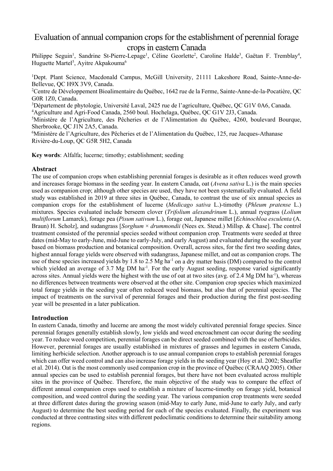# Evaluation of annual companion crops for the establishment of perennial forage

## crops in eastern Canada

Philippe Seguin<sup>1</sup>, Sandrine St-Pierre-Lepage<sup>1</sup>, Céline Georlette<sup>2</sup>, Caroline Halde<sup>3</sup>, Gaëtan F. Tremblay<sup>4</sup>, Huguette Martel $^5$ , Ayitre Akpakouma $^6$ 

<sup>1</sup>Dept. Plant Science, Macdonald Campus, McGill University, 21111 Lakeshore Road, Sainte-Anne-de-Bellevue, QC H9X 3V9, Canada.

2 Centre de Développement Bioalimentaire du Québec, 1642 rue de la Ferme, Sainte-Anne-de-la-Pocatière, QC G0R 1Z0, Canada.

 $^3$ Département de phytologie, Université Laval, 2425 rue de l'agriculture, Québec, QC G1V 0A6, Canada.

4 Agriculture and Agri-Food Canada, 2560 boul. Hochelaga, Québec, QC G1V 2J3, Canada.

5 Ministère de l'Agriculture, des Pêcheries et de l'Alimentation du Québec, 4260, boulevard Bourque, Sherbrooke, QC J1N 2A5, Canada.

6 Ministère de l'Agriculture, des Pêcheries et de l'Alimentation du Québec, 125, rue Jacques-Athanase Rivière-du-Loup, QC G5R 5H2, Canada

**Key words**: Alfalfa; lucerne; timothy; establishment; seeding

### **Abstract**

The use of companion crops when establishing perennial forages is desirable as it often reduces weed growth and increases forage biomass in the seeding year. In eastern Canada, oat (*Avena sativa* L.) is the main species used as companion crop; although other species are used, they have not been systematically evaluated. A field study was established in 2019 at three sites in Québec, Canada, to contrast the use of six annual species as companion crops for the establishment of lucerne (*Medicago sativa* L.)-timothy (*Phleum pratense* L.) mixtures. Species evaluated include berseem clover (*Trifolium alexandrinum* L.), annual ryegrass (*Lolium multiflorum* Lamarck), forage pea (*Pisum sativum* L.), forage oat, Japanese millet [*Echinochloa esculenta* (A. Braun) H. Scholz], and sudangrass [*Sorghum* × *drummondii* (Nees ex. Steud.) Millsp. & Chase]. The control treatment consisted of the perennial species seeded without companion crop. Treatments were seeded at three dates (mid-May to early-June, mid-June to early-July, and early August) and evaluated during the seeding year based on biomass production and botanical composition. Overall, across sites, for the first two seeding dates, highest annual forage yields were observed with sudangrass, Japanese millet, and oat as companion crops. The use of these species increased yields by 1.8 to 2.5 Mg ha<sup>-1</sup> on a dry matter basis (DM) compared to the control which yielded an average of 3.7 Mg DM ha<sup>-1</sup>. For the early August seeding, response varied significantly across sites. Annual yields were the highest with the use of oat at two sites (avg. of 2.4 Mg DM ha<sup>-1</sup>), whereas no differences between treatments were observed at the other site. Companion crop species which maximized total forage yields in the seeding year often reduced weed biomass, but also that of perennial species. The impact of treatments on the survival of perennial forages and their production during the first post-seeding year will be presented in a later publication.

## **Introduction**

In eastern Canada, timothy and lucerne are among the most widely cultivated perennial forage species. Since perennial forages generally establish slowly, low yields and weed encroachment can occur during the seeding year. To reduce weed competition, perennial forages can be direct seeded combined with the use of herbicides. However, perennial forages are usually established in mixtures of grasses and legumes in eastern Canada, limiting herbicide selection. Another approach is to use annual companion crops to establish perennial forages which can offer weed control and can also increase forage yields in the seeding year (Hoy et al. 2002; Sheaffer et al. 2014). Oat is the most commonly used companion crop in the province of Québec (CRAAQ 2005). Other annual species can be used to establish perennial forages, but there have not been evaluated across multiple sites in the province of Québec. Therefore, the main objective of the study was to compare the effect of different annual companion crops used to establish a mixture of lucerne-timothy on forage yield, botanical composition, and weed control during the seeding year. The various companion crop treatments were seeded at three different dates during the growing season (mid-May to early June, mid-June to early July, and early August) to determine the best seeding period for each of the species evaluated. Finally, the experiment was conducted at three contrasting sites with different pedoclimatic conditions to determine their suitability among regions.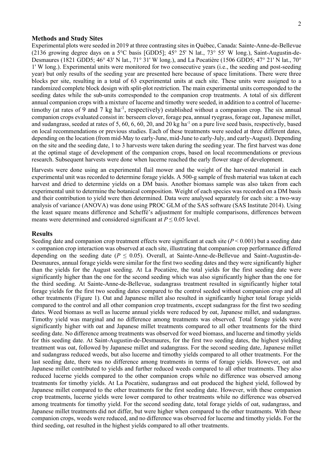#### **Methods and Study Sites**

Experimental plots were seeded in 2019 at three contrasting sites in Québec, Canada: Sainte-Anne-de-Bellevue (2136 growing degree days on a 5°C basis [GDD5]; 45° 25' N lat., 73° 55' W long.), Saint-Augustin-de-Desmaures (1821 GDD5; 46° 43' N lat., 71° 31' W long.), and La Pocatière (1506 GDD5; 47° 21' N lat., 70° 1' W long.). Experimental units were monitored for two consecutive years (i.e., the seeding and post-seeding year) but only results of the seeding year are presented here because of space limitations. There were three blocks per site, resulting in a total of 63 experimental units at each site. These units were assigned to a randomized complete block design with split-plot restriction. The main experimental units corresponded to the seeding dates while the sub-units corresponded to the companion crop treatments. A total of six different annual companion crops with a mixture of lucerne and timothy were seeded, in addition to a control of lucernetimothy (at rates of 9 and 7 kg ha<sup>-1</sup>, respectively) established without a companion crop. The six annual companion crops evaluated consist in: berseem clover, forage pea, annual ryegrass, forage oat, Japanese millet, and sudangrass, seeded at rates of 5, 60, 6, 60, 20, and 20 kg ha<sup>-1</sup> on a pure live seed basis, respectively, based on local recommendations or previous studies. Each of these treatments were seeded at three different dates, depending on the location (from mid-May to early-June, mid-June to early-July, and early-August). Depending on the site and the seeding date, 1 to 3 harvests were taken during the seeding year. The first harvest was done at the optimal stage of development of the companion crops, based on local recommendations or previous research. Subsequent harvests were done when lucerne reached the early flower stage of development.

Harvests were done using an experimental flail mower and the weight of the harvested material in each experimental unit was recorded to determine forage yields. A 500-g sample of fresh material was taken at each harvest and dried to determine yields on a DM basis. Another biomass sample was also taken from each experimental unit to determine the botanical composition. Weight of each species was recorded on a DM basis and their contribution to yield were then determined. Data were analysed separately for each site: a two-way analysis of variance (ANOVA) was done using PROC GLM of the SAS software (SAS Institute 2014). Using the least square means difference and Scheffé's adjustment for multiple comparisons, differences between means were determined and considered significant at  $P \leq 0.05$  level.

#### **Results**

Seeding date and companion crop treatment effects were significant at each site  $(P < 0.001)$  but a seeding date × companion crop interaction was observed at each site, illustrating that companion crop performance differed depending on the seeding date ( $P \le 0.05$ ). Overall, at Sainte-Anne-de-Bellevue and Saint-Augustin-de-Desmaures, annual forage yields were similar for the first two seeding dates and they were significantly higher than the yields for the August seeding. At La Pocatière, the total yields for the first seeding date were significantly higher than the one for the second seeding which was also significantly higher than the one for the third seeding. At Sainte-Anne-de-Bellevue, sudangrass treatment resulted in significantly higher total forage yields for the first two seeding dates compared to the control seeded without companion crop and all other treatments (Figure 1). Oat and Japanese millet also resulted in significantly higher total forage yields compared to the control and all other companion crop treatments, except sudangrass for the first two seeding dates. Weed biomass as well as lucerne annual yields were reduced by oat, Japanese millet, and sudangrass. Timothy yield was marginal and no difference among treatments was observed. Total forage yields were significantly higher with oat and Japanese millet treatments compared to all other treatments for the third seeding date. No difference among treatments was observed for weed biomass, and lucerne and timothy yields for this seeding date. At Saint-Augustin-de-Desmaures, for the first two seeding dates, the highest yielding treatment was oat, followed by Japanese millet and sudangrass. For the second seeding date, Japanese millet and sudangrass reduced weeds, but also lucerne and timothy yields compared to all other treatments. For the last seeding date, there was no difference among treatments in terms of forage yields. However, oat and Japanese millet contributed to yields and further reduced weeds compared to all other treatments. They also reduced lucerne yields compared to the other companion crops while no difference was observed among treatments for timothy yields. At La Pocatière, sudangrass and oat produced the highest yield, followed by Japanese millet compared to the other treatments for the first seeding date. However, with these companion crop treatments, lucerne yields were lower compared to other treatments while no difference was observed among treatments for timothy yield. For the second seeding date, total forage yields of oat, sudangrass, and Japanese millet treatments did not differ, but were higher when compared to the other treatments. With these companion crops, weeds were reduced, and no difference was observed for lucerne and timothy yields. For the third seeding, oat resulted in the highest yields compared to all other treatments.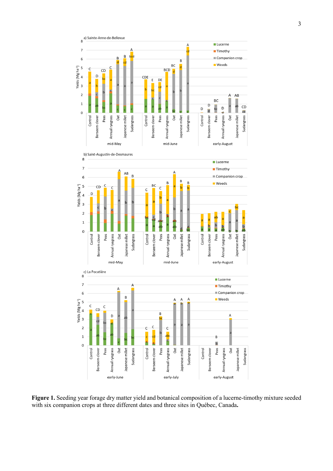

**Figure 1.** Seeding year forage dry matter yield and botanical composition of a lucerne-timothy mixture seeded with six companion crops at three different dates and three sites in Québec, Canada**.**